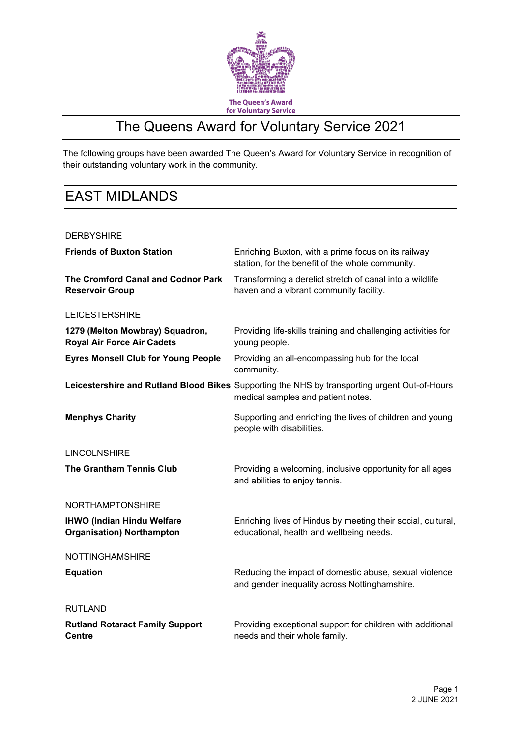

### The Queens Award for Voluntary Service 2021

The following groups have been awarded The Queen's Award for Voluntary Service in recognition of their outstanding voluntary work in the community.

### EAST MIDLANDS

#### **DERBYSHIRE**

| <b>Friends of Buxton Station</b>                                      | Enriching Buxton, with a prime focus on its railway<br>station, for the benefit of the whole community.                             |
|-----------------------------------------------------------------------|-------------------------------------------------------------------------------------------------------------------------------------|
| The Cromford Canal and Codnor Park<br><b>Reservoir Group</b>          | Transforming a derelict stretch of canal into a wildlife<br>haven and a vibrant community facility.                                 |
| <b>LEICESTERSHIRE</b>                                                 |                                                                                                                                     |
| 1279 (Melton Mowbray) Squadron,<br><b>Royal Air Force Air Cadets</b>  | Providing life-skills training and challenging activities for<br>young people.                                                      |
| <b>Eyres Monsell Club for Young People</b>                            | Providing an all-encompassing hub for the local<br>community.                                                                       |
|                                                                       | Leicestershire and Rutland Blood Bikes Supporting the NHS by transporting urgent Out-of-Hours<br>medical samples and patient notes. |
| <b>Menphys Charity</b>                                                | Supporting and enriching the lives of children and young<br>people with disabilities.                                               |
| <b>LINCOLNSHIRE</b>                                                   |                                                                                                                                     |
| <b>The Grantham Tennis Club</b>                                       | Providing a welcoming, inclusive opportunity for all ages<br>and abilities to enjoy tennis.                                         |
| <b>NORTHAMPTONSHIRE</b>                                               |                                                                                                                                     |
| <b>IHWO (Indian Hindu Welfare</b><br><b>Organisation) Northampton</b> | Enriching lives of Hindus by meeting their social, cultural,<br>educational, health and wellbeing needs.                            |
| <b>NOTTINGHAMSHIRE</b>                                                |                                                                                                                                     |
| <b>Equation</b>                                                       | Reducing the impact of domestic abuse, sexual violence<br>and gender inequality across Nottinghamshire.                             |
| <b>RUTLAND</b>                                                        |                                                                                                                                     |
| <b>Rutland Rotaract Family Support</b><br><b>Centre</b>               | Providing exceptional support for children with additional<br>needs and their whole family.                                         |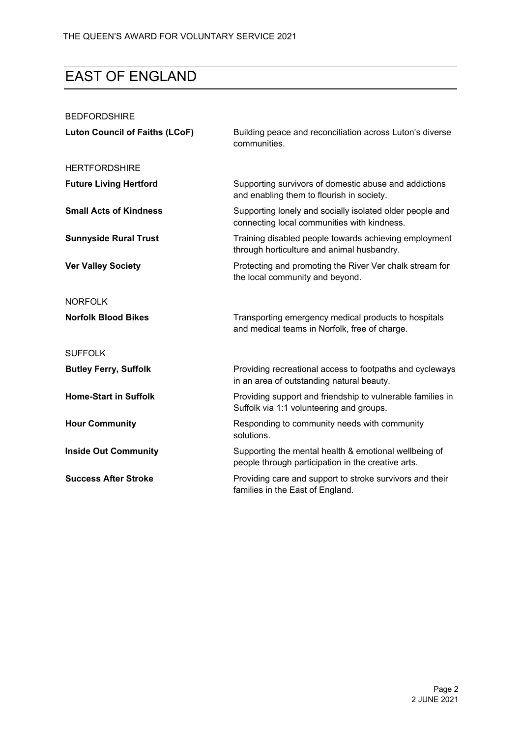# EAST OF ENGLAND

| <b>BEDFORDSHIRE</b>                   |                                                                                                             |
|---------------------------------------|-------------------------------------------------------------------------------------------------------------|
| <b>Luton Council of Faiths (LCoF)</b> | Building peace and reconciliation across Luton's diverse<br>communities.                                    |
| <b>HERTFORDSHIRE</b>                  |                                                                                                             |
| <b>Future Living Hertford</b>         | Supporting survivors of domestic abuse and addictions<br>and enabling them to flourish in society.          |
| <b>Small Acts of Kindness</b>         | Supporting lonely and socially isolated older people and<br>connecting local communities with kindness.     |
| <b>Sunnyside Rural Trust</b>          | Training disabled people towards achieving employment<br>through horticulture and animal husbandry.         |
| <b>Ver Valley Society</b>             | Protecting and promoting the River Ver chalk stream for<br>the local community and beyond.                  |
| <b>NORFOLK</b>                        |                                                                                                             |
| <b>Norfolk Blood Bikes</b>            | Transporting emergency medical products to hospitals<br>and medical teams in Norfolk, free of charge.       |
| <b>SUFFOLK</b>                        |                                                                                                             |
| <b>Butley Ferry, Suffolk</b>          | Providing recreational access to footpaths and cycleways<br>in an area of outstanding natural beauty.       |
| <b>Home-Start in Suffolk</b>          | Providing support and friendship to vulnerable families in<br>Suffolk via 1:1 volunteering and groups.      |
| <b>Hour Community</b>                 | Responding to community needs with community<br>solutions.                                                  |
| <b>Inside Out Community</b>           | Supporting the mental health & emotional wellbeing of<br>people through participation in the creative arts. |
| <b>Success After Stroke</b>           | Providing care and support to stroke survivors and their<br>families in the East of England.                |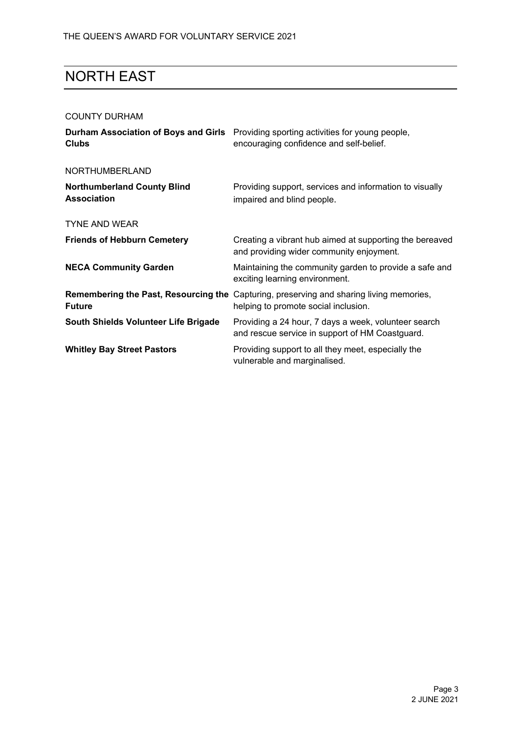### NORTH EAST

#### COUNTY DURHAM

| <b>Clubs</b>                                             | <b>Durham Association of Boys and Girls</b> Providing sporting activities for young people,<br>encouraging confidence and self-belief. |
|----------------------------------------------------------|----------------------------------------------------------------------------------------------------------------------------------------|
| NORTHUMBERLAND                                           |                                                                                                                                        |
| <b>Northumberland County Blind</b><br><b>Association</b> | Providing support, services and information to visually<br>impaired and blind people.                                                  |
| <b>TYNE AND WEAR</b>                                     |                                                                                                                                        |
| <b>Friends of Hebburn Cemetery</b>                       | Creating a vibrant hub aimed at supporting the bereaved<br>and providing wider community enjoyment.                                    |
| <b>NECA Community Garden</b>                             | Maintaining the community garden to provide a safe and<br>exciting learning environment.                                               |
| <b>Future</b>                                            | <b>Remembering the Past, Resourcing the Capturing, preserving and sharing living memories,</b><br>helping to promote social inclusion. |
| South Shields Volunteer Life Brigade                     | Providing a 24 hour, 7 days a week, volunteer search<br>and rescue service in support of HM Coastguard.                                |
| <b>Whitley Bay Street Pastors</b>                        | Providing support to all they meet, especially the<br>vulnerable and marginalised.                                                     |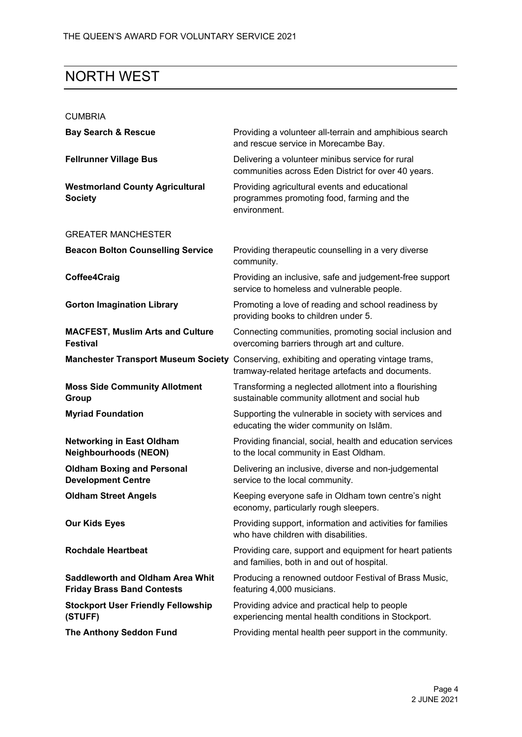### NORTH WEST

#### CUMBRIA

| <b>Bay Search &amp; Rescue</b>                                               | Providing a volunteer all-terrain and amphibious search<br>and rescue service in Morecambe Bay.                                              |
|------------------------------------------------------------------------------|----------------------------------------------------------------------------------------------------------------------------------------------|
| <b>Fellrunner Village Bus</b>                                                | Delivering a volunteer minibus service for rural<br>communities across Eden District for over 40 years.                                      |
| <b>Westmorland County Agricultural</b><br><b>Society</b>                     | Providing agricultural events and educational<br>programmes promoting food, farming and the<br>environment.                                  |
| <b>GREATER MANCHESTER</b>                                                    |                                                                                                                                              |
| <b>Beacon Bolton Counselling Service</b>                                     | Providing therapeutic counselling in a very diverse<br>community.                                                                            |
| Coffee4Craig                                                                 | Providing an inclusive, safe and judgement-free support<br>service to homeless and vulnerable people.                                        |
| <b>Gorton Imagination Library</b>                                            | Promoting a love of reading and school readiness by<br>providing books to children under 5.                                                  |
| <b>MACFEST, Muslim Arts and Culture</b><br><b>Festival</b>                   | Connecting communities, promoting social inclusion and<br>overcoming barriers through art and culture.                                       |
|                                                                              | Manchester Transport Museum Society Conserving, exhibiting and operating vintage trams,<br>tramway-related heritage artefacts and documents. |
| <b>Moss Side Community Allotment</b><br>Group                                | Transforming a neglected allotment into a flourishing<br>sustainable community allotment and social hub                                      |
| <b>Myriad Foundation</b>                                                     | Supporting the vulnerable in society with services and<br>educating the wider community on Islām.                                            |
| <b>Networking in East Oldham</b><br><b>Neighbourhoods (NEON)</b>             | Providing financial, social, health and education services<br>to the local community in East Oldham.                                         |
| <b>Oldham Boxing and Personal</b><br><b>Development Centre</b>               | Delivering an inclusive, diverse and non-judgemental<br>service to the local community.                                                      |
| <b>Oldham Street Angels</b>                                                  | Keeping everyone safe in Oldham town centre's night<br>economy, particularly rough sleepers.                                                 |
| <b>Our Kids Eyes</b>                                                         | Providing support, information and activities for families<br>who have children with disabilities.                                           |
| <b>Rochdale Heartbeat</b>                                                    | Providing care, support and equipment for heart patients<br>and families, both in and out of hospital.                                       |
| <b>Saddleworth and Oldham Area Whit</b><br><b>Friday Brass Band Contests</b> | Producing a renowned outdoor Festival of Brass Music,<br>featuring 4,000 musicians.                                                          |
| <b>Stockport User Friendly Fellowship</b><br>(STUFF)                         | Providing advice and practical help to people<br>experiencing mental health conditions in Stockport.                                         |
| <b>The Anthony Seddon Fund</b>                                               | Providing mental health peer support in the community.                                                                                       |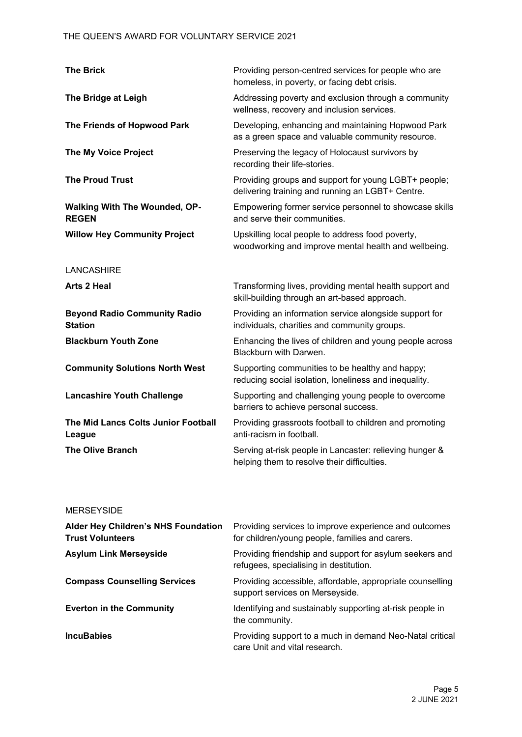| <b>The Brick</b>                                      | Providing person-centred services for people who are<br>homeless, in poverty, or facing debt crisis.     |
|-------------------------------------------------------|----------------------------------------------------------------------------------------------------------|
| The Bridge at Leigh                                   | Addressing poverty and exclusion through a community<br>wellness, recovery and inclusion services.       |
| The Friends of Hopwood Park                           | Developing, enhancing and maintaining Hopwood Park<br>as a green space and valuable community resource.  |
| <b>The My Voice Project</b>                           | Preserving the legacy of Holocaust survivors by<br>recording their life-stories.                         |
| <b>The Proud Trust</b>                                | Providing groups and support for young LGBT+ people;<br>delivering training and running an LGBT+ Centre. |
| <b>Walking With The Wounded, OP-</b><br><b>REGEN</b>  | Empowering former service personnel to showcase skills<br>and serve their communities.                   |
| <b>Willow Hey Community Project</b>                   | Upskilling local people to address food poverty,<br>woodworking and improve mental health and wellbeing. |
| <b>LANCASHIRE</b>                                     |                                                                                                          |
| Arts 2 Heal                                           | Transforming lives, providing mental health support and<br>skill-building through an art-based approach. |
| <b>Beyond Radio Community Radio</b><br><b>Station</b> | Providing an information service alongside support for<br>individuals, charities and community groups.   |
| <b>Blackburn Youth Zone</b>                           | Enhancing the lives of children and young people across<br>Blackburn with Darwen.                        |
| <b>Community Solutions North West</b>                 | Supporting communities to be healthy and happy;<br>reducing social isolation, loneliness and inequality. |
| <b>Lancashire Youth Challenge</b>                     | Supporting and challenging young people to overcome<br>barriers to achieve personal success.             |
| The Mid Lancs Colts Junior Football<br>League         | Providing grassroots football to children and promoting<br>anti-racism in football.                      |
| <b>The Olive Branch</b>                               | Serving at-risk people in Lancaster: relieving hunger &<br>helping them to resolve their difficulties.   |
|                                                       |                                                                                                          |

#### MERSEYSIDE

| Alder Hey Children's NHS Foundation<br><b>Trust Volunteers</b> | Providing services to improve experience and outcomes<br>for children/young people, families and carers. |
|----------------------------------------------------------------|----------------------------------------------------------------------------------------------------------|
| <b>Asylum Link Merseyside</b>                                  | Providing friendship and support for asylum seekers and<br>refugees, specialising in destitution.        |
| <b>Compass Counselling Services</b>                            | Providing accessible, affordable, appropriate counselling<br>support services on Merseyside.             |
| <b>Everton in the Community</b>                                | Identifying and sustainably supporting at-risk people in<br>the community.                               |
| <b>IncuBabies</b>                                              | Providing support to a much in demand Neo-Natal critical<br>care Unit and vital research.                |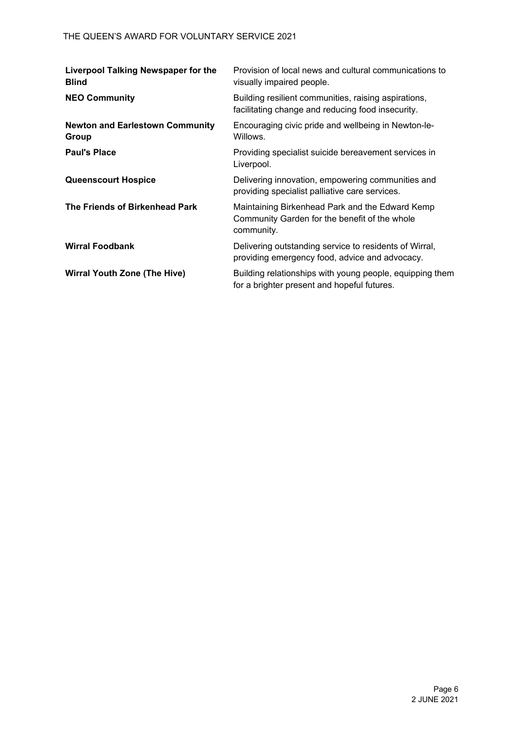| <b>Liverpool Talking Newspaper for the</b><br><b>Blind</b> | Provision of local news and cultural communications to<br>visually impaired people.                            |
|------------------------------------------------------------|----------------------------------------------------------------------------------------------------------------|
| <b>NEO Community</b>                                       | Building resilient communities, raising aspirations,<br>facilitating change and reducing food insecurity.      |
| <b>Newton and Earlestown Community</b><br>Group            | Encouraging civic pride and wellbeing in Newton-le-<br>Willows.                                                |
| <b>Paul's Place</b>                                        | Providing specialist suicide bereavement services in<br>Liverpool.                                             |
| <b>Queenscourt Hospice</b>                                 | Delivering innovation, empowering communities and<br>providing specialist palliative care services.            |
| The Friends of Birkenhead Park                             | Maintaining Birkenhead Park and the Edward Kemp<br>Community Garden for the benefit of the whole<br>community. |
| <b>Wirral Foodbank</b>                                     | Delivering outstanding service to residents of Wirral,<br>providing emergency food, advice and advocacy.       |
| <b>Wirral Youth Zone (The Hive)</b>                        | Building relationships with young people, equipping them<br>for a brighter present and hopeful futures.        |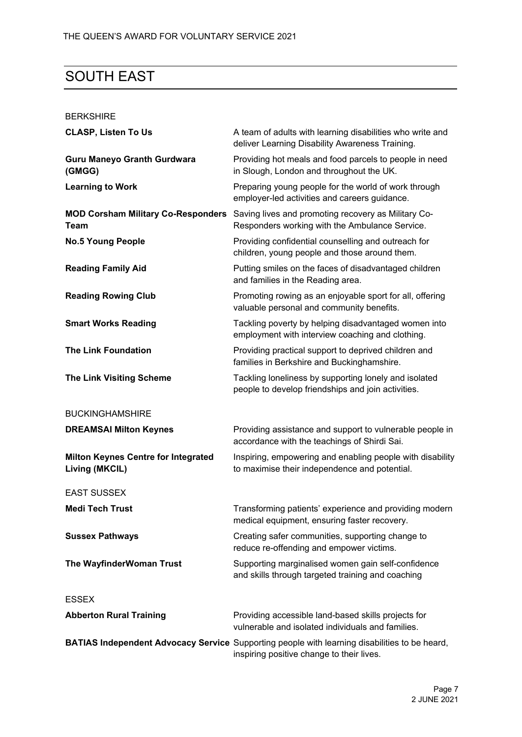## SOUTH EAST

#### BERKSHIRE

| <b>CLASP, Listen To Us</b>                                   | A team of adults with learning disabilities who write and<br>deliver Learning Disability Awareness Training.                               |
|--------------------------------------------------------------|--------------------------------------------------------------------------------------------------------------------------------------------|
| <b>Guru Maneyo Granth Gurdwara</b><br>(GMGG)                 | Providing hot meals and food parcels to people in need<br>in Slough, London and throughout the UK.                                         |
| <b>Learning to Work</b>                                      | Preparing young people for the world of work through<br>employer-led activities and careers guidance.                                      |
| <b>MOD Corsham Military Co-Responders</b><br>Team            | Saving lives and promoting recovery as Military Co-<br>Responders working with the Ambulance Service.                                      |
| <b>No.5 Young People</b>                                     | Providing confidential counselling and outreach for<br>children, young people and those around them.                                       |
| <b>Reading Family Aid</b>                                    | Putting smiles on the faces of disadvantaged children<br>and families in the Reading area.                                                 |
| <b>Reading Rowing Club</b>                                   | Promoting rowing as an enjoyable sport for all, offering<br>valuable personal and community benefits.                                      |
| <b>Smart Works Reading</b>                                   | Tackling poverty by helping disadvantaged women into<br>employment with interview coaching and clothing.                                   |
| <b>The Link Foundation</b>                                   | Providing practical support to deprived children and<br>families in Berkshire and Buckinghamshire.                                         |
| <b>The Link Visiting Scheme</b>                              | Tackling loneliness by supporting lonely and isolated<br>people to develop friendships and join activities.                                |
| <b>BUCKINGHAMSHIRE</b>                                       |                                                                                                                                            |
| <b>DREAMSAI Milton Keynes</b>                                | Providing assistance and support to vulnerable people in<br>accordance with the teachings of Shirdi Sai.                                   |
| <b>Milton Keynes Centre for Integrated</b><br>Living (MKCIL) | Inspiring, empowering and enabling people with disability<br>to maximise their independence and potential.                                 |
| <b>EAST SUSSEX</b>                                           |                                                                                                                                            |
| <b>Medi Tech Trust</b>                                       | Transforming patients' experience and providing modern<br>medical equipment, ensuring faster recovery.                                     |
| <b>Sussex Pathways</b>                                       | Creating safer communities, supporting change to<br>reduce re-offending and empower victims.                                               |
| The WayfinderWoman Trust                                     | Supporting marginalised women gain self-confidence<br>and skills through targeted training and coaching                                    |
| <b>ESSEX</b>                                                 |                                                                                                                                            |
| <b>Abberton Rural Training</b>                               | Providing accessible land-based skills projects for<br>vulnerable and isolated individuals and families.                                   |
|                                                              | BATIAS Independent Advocacy Service Supporting people with learning disabilities to be heard,<br>inspiring positive change to their lives. |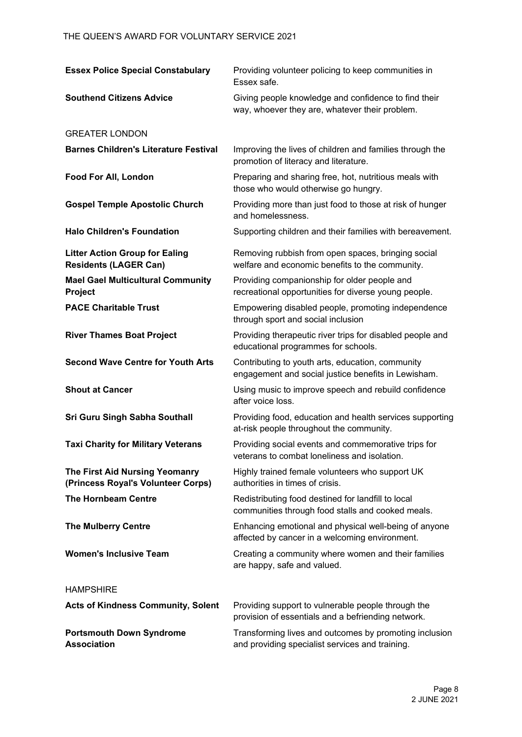| <b>Essex Police Special Constabulary</b>                              | Providing volunteer policing to keep communities in<br>Essex safe                                         |
|-----------------------------------------------------------------------|-----------------------------------------------------------------------------------------------------------|
| <b>Southend Citizens Advice</b>                                       | Giving people knowledge and confidence to find their<br>way, whoever they are, whatever their problem.    |
| <b>GREATER LONDON</b>                                                 |                                                                                                           |
| <b>Barnes Children's Literature Festival</b>                          | Improving the lives of children and families through the<br>promotion of literacy and literature.         |
| Food For All, London                                                  | Preparing and sharing free, hot, nutritious meals with<br>those who would otherwise go hungry.            |
| <b>Gospel Temple Apostolic Church</b>                                 | Providing more than just food to those at risk of hunger<br>and homelessness.                             |
| <b>Halo Children's Foundation</b>                                     | Supporting children and their families with bereavement.                                                  |
| <b>Litter Action Group for Ealing</b><br><b>Residents (LAGER Can)</b> | Removing rubbish from open spaces, bringing social<br>welfare and economic benefits to the community.     |
| <b>Mael Gael Multicultural Community</b><br>Project                   | Providing companionship for older people and<br>recreational opportunities for diverse young people.      |
| <b>PACE Charitable Trust</b>                                          | Empowering disabled people, promoting independence<br>through sport and social inclusion                  |
| <b>River Thames Boat Project</b>                                      | Providing therapeutic river trips for disabled people and<br>educational programmes for schools.          |
| <b>Second Wave Centre for Youth Arts</b>                              | Contributing to youth arts, education, community<br>engagement and social justice benefits in Lewisham.   |
| <b>Shout at Cancer</b>                                                | Using music to improve speech and rebuild confidence<br>after voice loss.                                 |
| <b>Sri Guru Singh Sabha Southall</b>                                  | Providing food, education and health services supporting<br>at-risk people throughout the community.      |
| <b>Taxi Charity for Military Veterans</b>                             | Providing social events and commemorative trips for<br>veterans to combat loneliness and isolation.       |
| The First Aid Nursing Yeomanry<br>(Princess Royal's Volunteer Corps)  | Highly trained female volunteers who support UK<br>authorities in times of crisis.                        |
| <b>The Hornbeam Centre</b>                                            | Redistributing food destined for landfill to local<br>communities through food stalls and cooked meals.   |
| <b>The Mulberry Centre</b>                                            | Enhancing emotional and physical well-being of anyone<br>affected by cancer in a welcoming environment.   |
| <b>Women's Inclusive Team</b>                                         | Creating a community where women and their families<br>are happy, safe and valued.                        |
| <b>HAMPSHIRE</b>                                                      |                                                                                                           |
| <b>Acts of Kindness Community, Solent</b>                             | Providing support to vulnerable people through the<br>provision of essentials and a befriending network.  |
| <b>Portsmouth Down Syndrome</b><br><b>Association</b>                 | Transforming lives and outcomes by promoting inclusion<br>and providing specialist services and training. |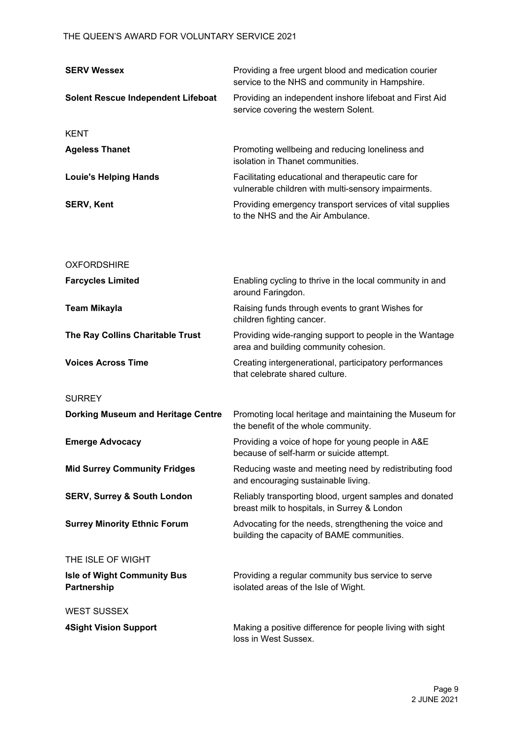| <b>SERV Wessex</b>                                | Providing a free urgent blood and medication courier<br>service to the NHS and community in Hampshire.   |
|---------------------------------------------------|----------------------------------------------------------------------------------------------------------|
| <b>Solent Rescue Independent Lifeboat</b>         | Providing an independent inshore lifeboat and First Aid<br>service covering the western Solent.          |
| <b>KENT</b>                                       |                                                                                                          |
| <b>Ageless Thanet</b>                             | Promoting wellbeing and reducing loneliness and<br>isolation in Thanet communities.                      |
| <b>Louie's Helping Hands</b>                      | Facilitating educational and therapeutic care for<br>vulnerable children with multi-sensory impairments. |
| <b>SERV, Kent</b>                                 | Providing emergency transport services of vital supplies<br>to the NHS and the Air Ambulance.            |
| <b>OXFORDSHIRE</b>                                |                                                                                                          |
| <b>Farcycles Limited</b>                          | Enabling cycling to thrive in the local community in and<br>around Faringdon.                            |
| <b>Team Mikayla</b>                               | Raising funds through events to grant Wishes for<br>children fighting cancer.                            |
| The Ray Collins Charitable Trust                  | Providing wide-ranging support to people in the Wantage<br>area and building community cohesion.         |
| <b>Voices Across Time</b>                         | Creating intergenerational, participatory performances<br>that celebrate shared culture.                 |
| <b>SURREY</b>                                     |                                                                                                          |
| <b>Dorking Museum and Heritage Centre</b>         | Promoting local heritage and maintaining the Museum for<br>the benefit of the whole community.           |
| <b>Emerge Advocacy</b>                            | Providing a voice of hope for young people in A&E<br>because of self-harm or suicide attempt.            |
| <b>Mid Surrey Community Fridges</b>               | Reducing waste and meeting need by redistributing food<br>and encouraging sustainable living.            |
| <b>SERV, Surrey &amp; South London</b>            | Reliably transporting blood, urgent samples and donated<br>breast milk to hospitals, in Surrey & London  |
| <b>Surrey Minority Ethnic Forum</b>               | Advocating for the needs, strengthening the voice and<br>building the capacity of BAME communities.      |
| THE ISLE OF WIGHT                                 |                                                                                                          |
| <b>Isle of Wight Community Bus</b><br>Partnership | Providing a regular community bus service to serve<br>isolated areas of the Isle of Wight.               |
| <b>WEST SUSSEX</b>                                |                                                                                                          |
| <b>4Sight Vision Support</b>                      | Making a positive difference for people living with sight<br>loss in West Sussex.                        |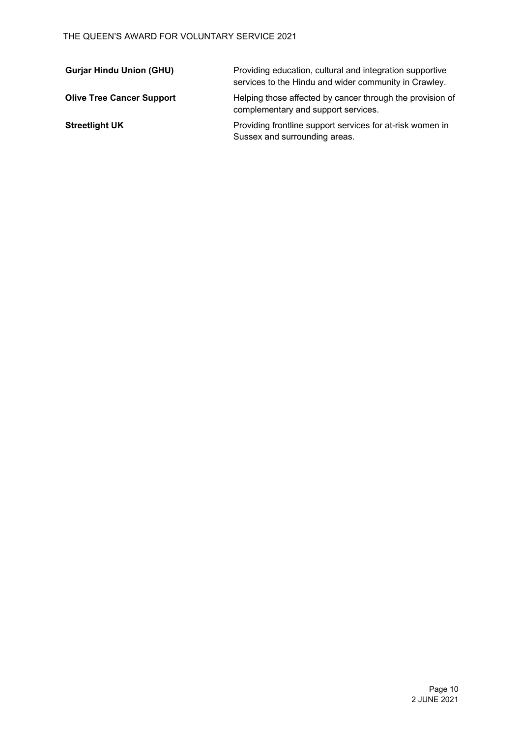| <b>Gurjar Hindu Union (GHU)</b>  | Providing education, cultural and integration supportive<br>services to the Hindu and wider community in Crawley. |
|----------------------------------|-------------------------------------------------------------------------------------------------------------------|
| <b>Olive Tree Cancer Support</b> | Helping those affected by cancer through the provision of<br>complementary and support services.                  |
| <b>Streetlight UK</b>            | Providing frontline support services for at-risk women in<br>Sussex and surrounding areas.                        |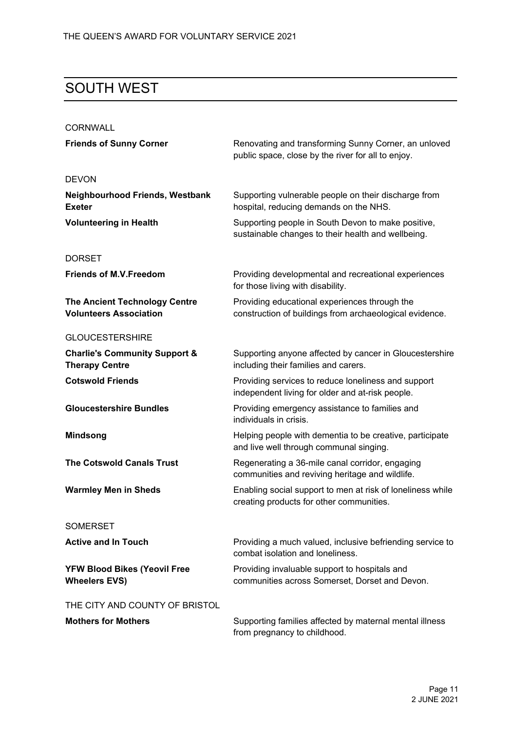### SOUTH WEST

| <b>CORNWALL</b>                                                       |                                                                                                            |
|-----------------------------------------------------------------------|------------------------------------------------------------------------------------------------------------|
| <b>Friends of Sunny Corner</b>                                        | Renovating and transforming Sunny Corner, an unloved<br>public space, close by the river for all to enjoy. |
| <b>DEVON</b>                                                          |                                                                                                            |
| <b>Neighbourhood Friends, Westbank</b><br><b>Exeter</b>               | Supporting vulnerable people on their discharge from<br>hospital, reducing demands on the NHS.             |
| <b>Volunteering in Health</b>                                         | Supporting people in South Devon to make positive,<br>sustainable changes to their health and wellbeing.   |
| <b>DORSET</b>                                                         |                                                                                                            |
| <b>Friends of M.V.Freedom</b>                                         | Providing developmental and recreational experiences<br>for those living with disability.                  |
| <b>The Ancient Technology Centre</b><br><b>Volunteers Association</b> | Providing educational experiences through the<br>construction of buildings from archaeological evidence.   |
| <b>GLOUCESTERSHIRE</b>                                                |                                                                                                            |
| <b>Charlie's Community Support &amp;</b><br><b>Therapy Centre</b>     | Supporting anyone affected by cancer in Gloucestershire<br>including their families and carers.            |
| <b>Cotswold Friends</b>                                               | Providing services to reduce loneliness and support<br>independent living for older and at-risk people.    |
| <b>Gloucestershire Bundles</b>                                        | Providing emergency assistance to families and<br>individuals in crisis.                                   |
| <b>Mindsong</b>                                                       | Helping people with dementia to be creative, participate<br>and live well through communal singing.        |
| <b>The Cotswold Canals Trust</b>                                      | Regenerating a 36-mile canal corridor, engaging<br>communities and reviving heritage and wildlife.         |
| <b>Warmley Men in Sheds</b>                                           | Enabling social support to men at risk of loneliness while<br>creating products for other communities.     |
| <b>SOMERSET</b>                                                       |                                                                                                            |
| <b>Active and In Touch</b>                                            | Providing a much valued, inclusive befriending service to<br>combat isolation and loneliness.              |
| <b>YFW Blood Bikes (Yeovil Free</b><br><b>Wheelers EVS)</b>           | Providing invaluable support to hospitals and<br>communities across Somerset, Dorset and Devon.            |
| THE CITY AND COUNTY OF BRISTOL                                        |                                                                                                            |
| <b>Mothers for Mothers</b>                                            | Supporting families affected by maternal mental illness<br>from pregnancy to childhood.                    |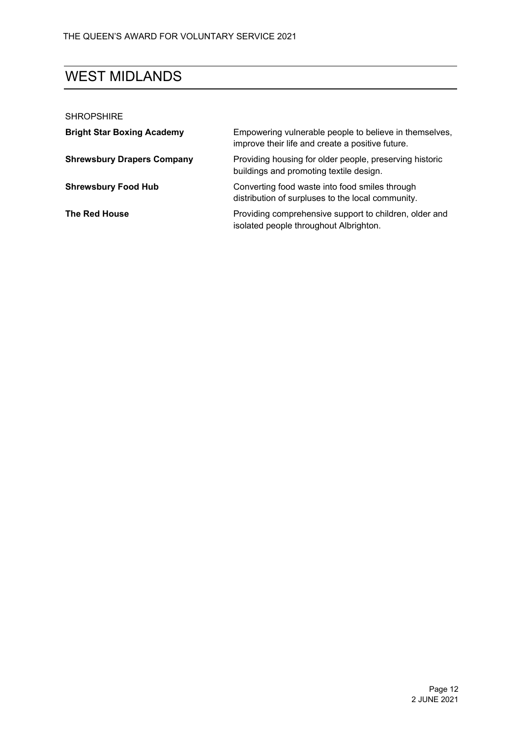## WEST MIDLANDS

| <b>SHROPSHIRE</b>                 |                                                                                                            |
|-----------------------------------|------------------------------------------------------------------------------------------------------------|
| <b>Bright Star Boxing Academy</b> | Empowering vulnerable people to believe in themselves,<br>improve their life and create a positive future. |
| <b>Shrewsbury Drapers Company</b> | Providing housing for older people, preserving historic<br>buildings and promoting textile design.         |
| <b>Shrewsbury Food Hub</b>        | Converting food waste into food smiles through<br>distribution of surpluses to the local community.        |
| The Red House                     | Providing comprehensive support to children, older and<br>isolated people throughout Albrighton.           |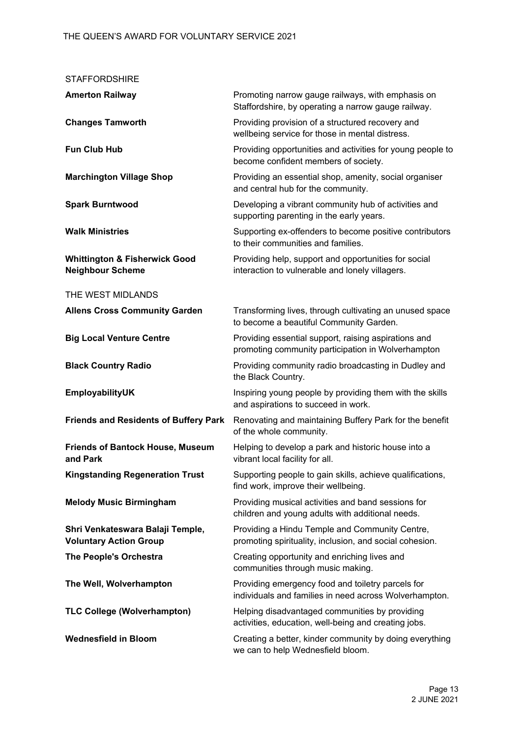| <b>STAFFORDSHIRE</b>                                                |                                                                                                             |
|---------------------------------------------------------------------|-------------------------------------------------------------------------------------------------------------|
| <b>Amerton Railway</b>                                              | Promoting narrow gauge railways, with emphasis on<br>Staffordshire, by operating a narrow gauge railway.    |
| <b>Changes Tamworth</b>                                             | Providing provision of a structured recovery and<br>wellbeing service for those in mental distress.         |
| <b>Fun Club Hub</b>                                                 | Providing opportunities and activities for young people to<br>become confident members of society.          |
| <b>Marchington Village Shop</b>                                     | Providing an essential shop, amenity, social organiser<br>and central hub for the community.                |
| <b>Spark Burntwood</b>                                              | Developing a vibrant community hub of activities and<br>supporting parenting in the early years.            |
| <b>Walk Ministries</b>                                              | Supporting ex-offenders to become positive contributors<br>to their communities and families.               |
| <b>Whittington &amp; Fisherwick Good</b><br><b>Neighbour Scheme</b> | Providing help, support and opportunities for social<br>interaction to vulnerable and lonely villagers.     |
| THE WEST MIDLANDS                                                   |                                                                                                             |
| <b>Allens Cross Community Garden</b>                                | Transforming lives, through cultivating an unused space<br>to become a beautiful Community Garden.          |
| <b>Big Local Venture Centre</b>                                     | Providing essential support, raising aspirations and<br>promoting community participation in Wolverhampton  |
| <b>Black Country Radio</b>                                          | Providing community radio broadcasting in Dudley and<br>the Black Country.                                  |
| EmployabilityUK                                                     | Inspiring young people by providing them with the skills<br>and aspirations to succeed in work.             |
| <b>Friends and Residents of Buffery Park</b>                        | Renovating and maintaining Buffery Park for the benefit<br>of the whole community.                          |
| <b>Friends of Bantock House, Museum</b><br>and Park                 | Helping to develop a park and historic house into a<br>vibrant local facility for all.                      |
| <b>Kingstanding Regeneration Trust</b>                              | Supporting people to gain skills, achieve qualifications,<br>find work, improve their wellbeing.            |
| <b>Melody Music Birmingham</b>                                      | Providing musical activities and band sessions for<br>children and young adults with additional needs.      |
| Shri Venkateswara Balaji Temple,<br><b>Voluntary Action Group</b>   | Providing a Hindu Temple and Community Centre,<br>promoting spirituality, inclusion, and social cohesion.   |
| The People's Orchestra                                              | Creating opportunity and enriching lives and<br>communities through music making.                           |
| The Well, Wolverhampton                                             | Providing emergency food and toiletry parcels for<br>individuals and families in need across Wolverhampton. |
| <b>TLC College (Wolverhampton)</b>                                  | Helping disadvantaged communities by providing<br>activities, education, well-being and creating jobs.      |
| <b>Wednesfield in Bloom</b>                                         | Creating a better, kinder community by doing everything<br>we can to help Wednesfield bloom.                |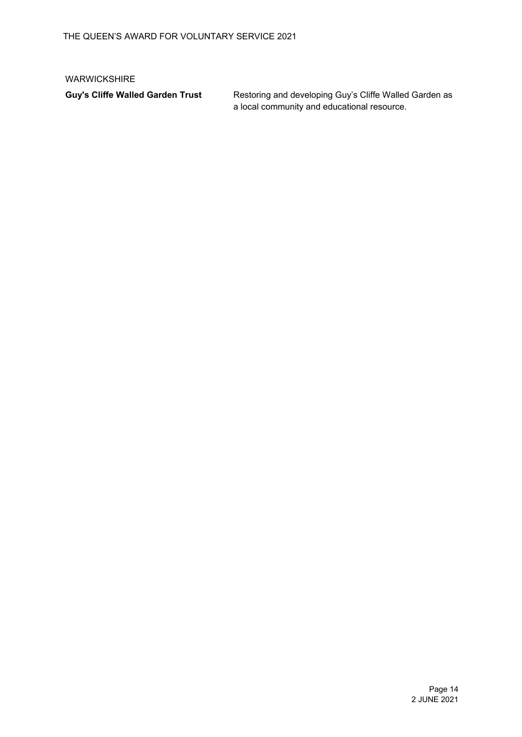#### WARWICKSHIRE

Guy's Cliffe Walled Garden Trust **Restoring and developing Guy's Cliffe Walled Garden as** a local community and educational resource.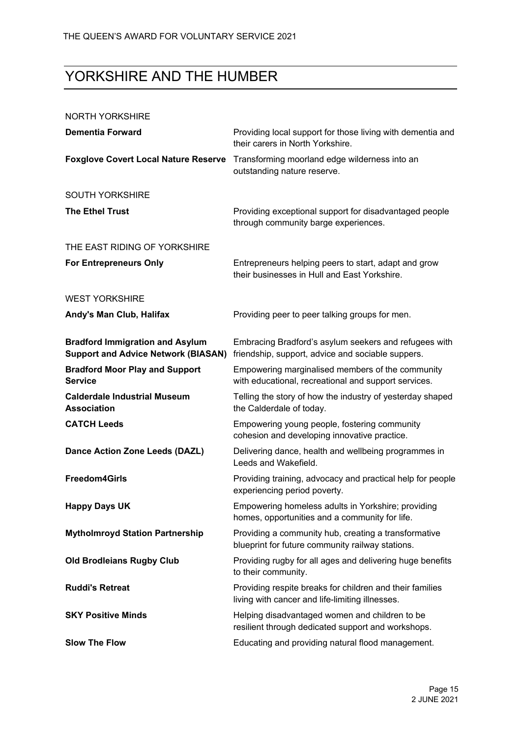# YORKSHIRE AND THE HUMBER

#### NORTH YORKSHIRE

| <b>Dementia Forward</b>                                                              | Providing local support for those living with dementia and<br>their carers in North Yorkshire.              |
|--------------------------------------------------------------------------------------|-------------------------------------------------------------------------------------------------------------|
| <b>Foxglove Covert Local Nature Reserve</b>                                          | Transforming moorland edge wilderness into an<br>outstanding nature reserve.                                |
| <b>SOUTH YORKSHIRE</b>                                                               |                                                                                                             |
| <b>The Ethel Trust</b>                                                               | Providing exceptional support for disadvantaged people<br>through community barge experiences.              |
| THE EAST RIDING OF YORKSHIRE                                                         |                                                                                                             |
| <b>For Entrepreneurs Only</b>                                                        | Entrepreneurs helping peers to start, adapt and grow<br>their businesses in Hull and East Yorkshire.        |
| <b>WEST YORKSHIRE</b>                                                                |                                                                                                             |
| Andy's Man Club, Halifax                                                             | Providing peer to peer talking groups for men.                                                              |
| <b>Bradford Immigration and Asylum</b><br><b>Support and Advice Network (BIASAN)</b> | Embracing Bradford's asylum seekers and refugees with<br>friendship, support, advice and sociable suppers.  |
| <b>Bradford Moor Play and Support</b><br><b>Service</b>                              | Empowering marginalised members of the community<br>with educational, recreational and support services.    |
| <b>Calderdale Industrial Museum</b><br><b>Association</b>                            | Telling the story of how the industry of yesterday shaped<br>the Calderdale of today.                       |
| <b>CATCH Leeds</b>                                                                   | Empowering young people, fostering community<br>cohesion and developing innovative practice.                |
| Dance Action Zone Leeds (DAZL)                                                       | Delivering dance, health and wellbeing programmes in<br>Leeds and Wakefield.                                |
| <b>Freedom4Girls</b>                                                                 | Providing training, advocacy and practical help for people<br>experiencing period poverty.                  |
| <b>Happy Days UK</b>                                                                 | Empowering homeless adults in Yorkshire; providing<br>homes, opportunities and a community for life.        |
| <b>Mytholmroyd Station Partnership</b>                                               | Providing a community hub, creating a transformative<br>blueprint for future community railway stations.    |
| <b>Old Brodleians Rugby Club</b>                                                     | Providing rugby for all ages and delivering huge benefits<br>to their community.                            |
| <b>Ruddi's Retreat</b>                                                               | Providing respite breaks for children and their families<br>living with cancer and life-limiting illnesses. |
| <b>SKY Positive Minds</b>                                                            | Helping disadvantaged women and children to be<br>resilient through dedicated support and workshops.        |
| <b>Slow The Flow</b>                                                                 | Educating and providing natural flood management.                                                           |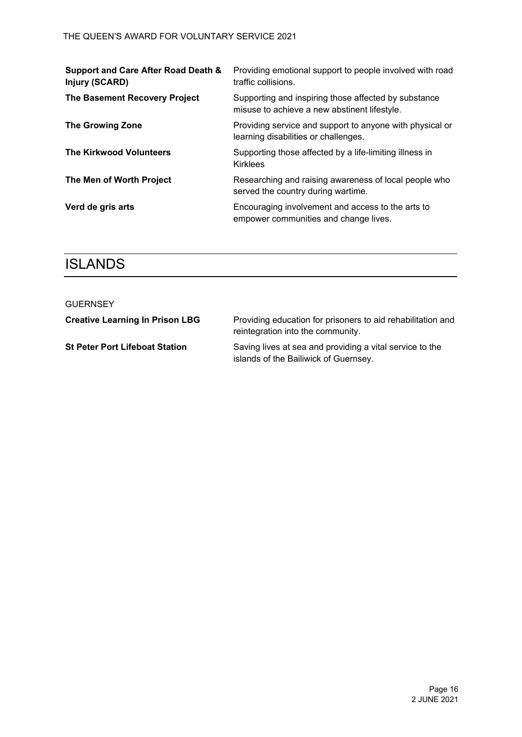| Support and Care After Road Death &<br>Injury (SCARD) | Providing emotional support to people involved with road<br>traffic collisions.                      |
|-------------------------------------------------------|------------------------------------------------------------------------------------------------------|
| The Basement Recovery Project                         | Supporting and inspiring those affected by substance<br>misuse to achieve a new abstinent lifestyle. |
| <b>The Growing Zone</b>                               | Providing service and support to anyone with physical or<br>learning disabilities or challenges.     |
| <b>The Kirkwood Volunteers</b>                        | Supporting those affected by a life-limiting illness in<br><b>Kirklees</b>                           |
| The Men of Worth Project                              | Researching and raising awareness of local people who<br>served the country during wartime.          |
| Verd de gris arts                                     | Encouraging involvement and access to the arts to<br>empower communities and change lives.           |

### **ISLANDS**

| GUERNSEY                               |                                                                                                   |
|----------------------------------------|---------------------------------------------------------------------------------------------------|
| <b>Creative Learning In Prison LBG</b> | Providing education for prisoners to aid rehabilitation and<br>reintegration into the community.  |
| <b>St Peter Port Lifeboat Station</b>  | Saving lives at sea and providing a vital service to the<br>islands of the Bailiwick of Guernsey. |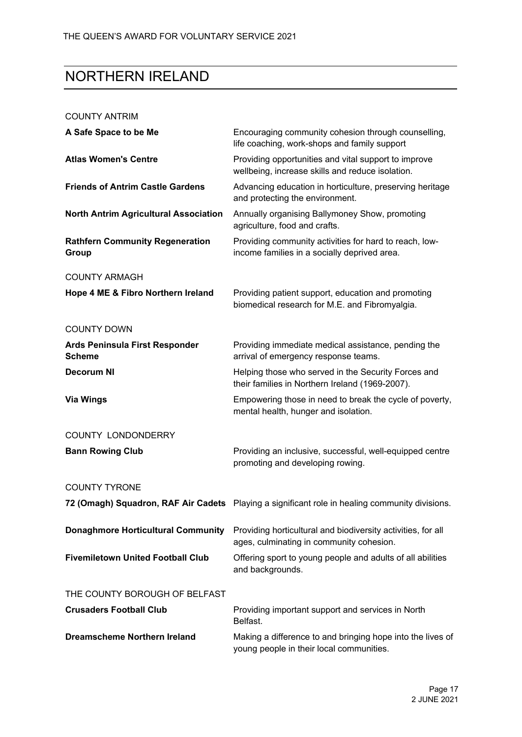### NORTHERN IRELAND

#### COUNTY ANTRIM

| A Safe Space to be Me                           | Encouraging community cohesion through counselling,<br>life coaching, work-shops and family support      |
|-------------------------------------------------|----------------------------------------------------------------------------------------------------------|
| <b>Atlas Women's Centre</b>                     | Providing opportunities and vital support to improve<br>wellbeing, increase skills and reduce isolation. |
| <b>Friends of Antrim Castle Gardens</b>         | Advancing education in horticulture, preserving heritage<br>and protecting the environment.              |
| <b>North Antrim Agricultural Association</b>    | Annually organising Ballymoney Show, promoting<br>agriculture, food and crafts.                          |
| <b>Rathfern Community Regeneration</b><br>Group | Providing community activities for hard to reach, low-<br>income families in a socially deprived area.   |
| <b>COUNTY ARMAGH</b>                            |                                                                                                          |
| Hope 4 ME & Fibro Northern Ireland              | Providing patient support, education and promoting<br>biomedical research for M.E. and Fibromyalgia.     |
| <b>COUNTY DOWN</b>                              |                                                                                                          |
| Ards Peninsula First Responder<br><b>Scheme</b> | Providing immediate medical assistance, pending the<br>arrival of emergency response teams.              |
| <b>Decorum NI</b>                               | Helping those who served in the Security Forces and<br>their families in Northern Ireland (1969-2007).   |
| <b>Via Wings</b>                                | Empowering those in need to break the cycle of poverty,<br>mental health, hunger and isolation.          |
| <b>COUNTY LONDONDERRY</b>                       |                                                                                                          |
| <b>Bann Rowing Club</b>                         | Providing an inclusive, successful, well-equipped centre<br>promoting and developing rowing.             |
| <b>COUNTY TYRONE</b>                            |                                                                                                          |
|                                                 | 72 (Omagh) Squadron, RAF Air Cadets Playing a significant role in healing community divisions.           |
| <b>Donaghmore Horticultural Community</b>       | Providing horticultural and biodiversity activities, for all<br>ages, culminating in community cohesion. |
| <b>Fivemiletown United Football Club</b>        | Offering sport to young people and adults of all abilities<br>and backgrounds.                           |
| THE COUNTY BOROUGH OF BELFAST                   |                                                                                                          |
| <b>Crusaders Football Club</b>                  | Providing important support and services in North<br>Belfast.                                            |
| <b>Dreamscheme Northern Ireland</b>             | Making a difference to and bringing hope into the lives of<br>young people in their local communities.   |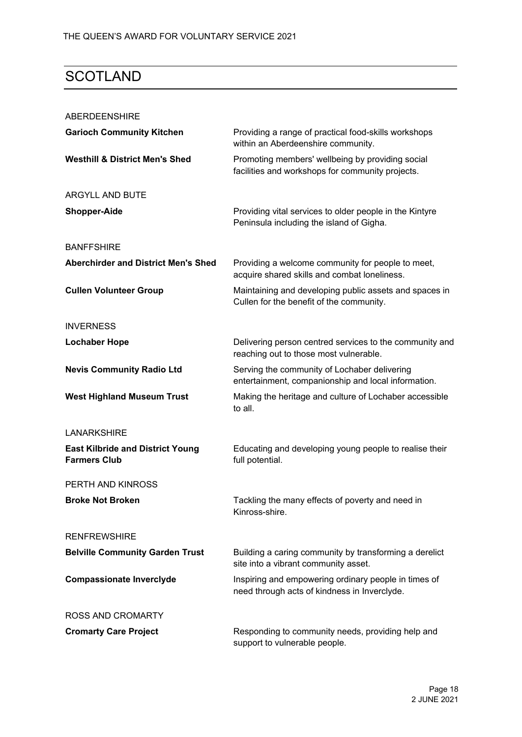### **SCOTLAND**

| <b>ABERDEENSHIRE</b>                                           |                                                                                                      |
|----------------------------------------------------------------|------------------------------------------------------------------------------------------------------|
| <b>Garioch Community Kitchen</b>                               | Providing a range of practical food-skills workshops<br>within an Aberdeenshire community.           |
| <b>Westhill &amp; District Men's Shed</b>                      | Promoting members' wellbeing by providing social<br>facilities and workshops for community projects. |
| <b>ARGYLL AND BUTE</b>                                         |                                                                                                      |
| <b>Shopper-Aide</b>                                            | Providing vital services to older people in the Kintyre<br>Peninsula including the island of Gigha.  |
| <b>BANFFSHIRE</b>                                              |                                                                                                      |
| <b>Aberchirder and District Men's Shed</b>                     | Providing a welcome community for people to meet,<br>acquire shared skills and combat loneliness.    |
| <b>Cullen Volunteer Group</b>                                  | Maintaining and developing public assets and spaces in<br>Cullen for the benefit of the community.   |
| <b>INVERNESS</b>                                               |                                                                                                      |
| <b>Lochaber Hope</b>                                           | Delivering person centred services to the community and<br>reaching out to those most vulnerable.    |
| <b>Nevis Community Radio Ltd</b>                               | Serving the community of Lochaber delivering<br>entertainment, companionship and local information.  |
| <b>West Highland Museum Trust</b>                              | Making the heritage and culture of Lochaber accessible<br>to all.                                    |
| <b>LANARKSHIRE</b>                                             |                                                                                                      |
| <b>East Kilbride and District Young</b><br><b>Farmers Club</b> | Educating and developing young people to realise their<br>full potential.                            |
| PERTH AND KINROSS                                              |                                                                                                      |
| <b>Broke Not Broken</b>                                        | Tackling the many effects of poverty and need in<br>Kinross-shire.                                   |
| <b>RENFREWSHIRE</b>                                            |                                                                                                      |
| <b>Belville Community Garden Trust</b>                         | Building a caring community by transforming a derelict<br>site into a vibrant community asset.       |
| <b>Compassionate Inverclyde</b>                                | Inspiring and empowering ordinary people in times of<br>need through acts of kindness in Inverclyde. |
| <b>ROSS AND CROMARTY</b>                                       |                                                                                                      |
| <b>Cromarty Care Project</b>                                   | Responding to community needs, providing help and<br>support to vulnerable people.                   |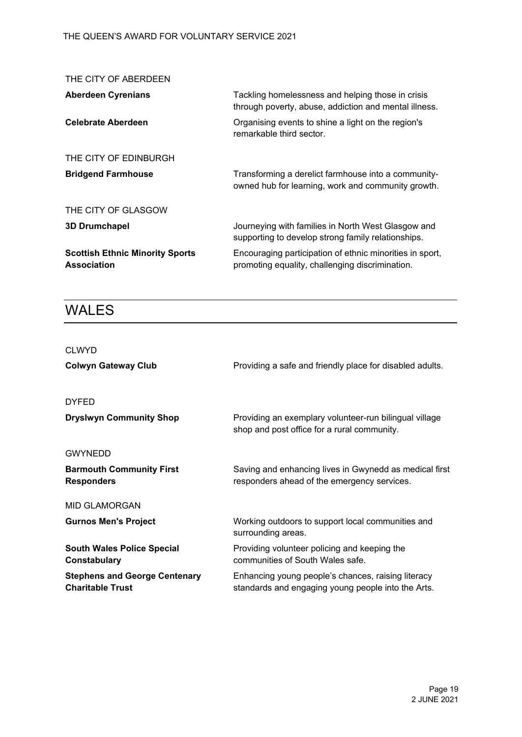| THE CITY OF ABERDEEN                                         |                                                                                                             |
|--------------------------------------------------------------|-------------------------------------------------------------------------------------------------------------|
| <b>Aberdeen Cyrenians</b>                                    | Tackling homelessness and helping those in crisis<br>through poverty, abuse, addiction and mental illness.  |
| <b>Celebrate Aberdeen</b>                                    | Organising events to shine a light on the region's<br>remarkable third sector.                              |
| THE CITY OF EDINBURGH                                        |                                                                                                             |
| <b>Bridgend Farmhouse</b>                                    | Transforming a derelict farmhouse into a community-<br>owned hub for learning, work and community growth.   |
| THE CITY OF GLASGOW                                          |                                                                                                             |
| <b>3D Drumchapel</b>                                         | Journeying with families in North West Glasgow and<br>supporting to develop strong family relationships.    |
| <b>Scottish Ethnic Minority Sports</b><br><b>Association</b> | Encouraging participation of ethnic minorities in sport,<br>promoting equality, challenging discrimination. |

### WALES

| <b>CLWYD</b>                                                    |                                                                                                          |
|-----------------------------------------------------------------|----------------------------------------------------------------------------------------------------------|
| <b>Colwyn Gateway Club</b>                                      | Providing a safe and friendly place for disabled adults.                                                 |
| <b>DYFED</b>                                                    |                                                                                                          |
| <b>Dryslwyn Community Shop</b>                                  | Providing an exemplary volunteer-run bilingual village<br>shop and post office for a rural community.    |
| <b>GWYNEDD</b>                                                  |                                                                                                          |
| <b>Barmouth Community First</b><br><b>Responders</b>            | Saving and enhancing lives in Gwynedd as medical first<br>responders ahead of the emergency services.    |
| <b>MID GLAMORGAN</b>                                            |                                                                                                          |
| <b>Gurnos Men's Project</b>                                     | Working outdoors to support local communities and<br>surrounding areas.                                  |
| <b>South Wales Police Special</b><br>Constabulary               | Providing volunteer policing and keeping the<br>communities of South Wales safe.                         |
| <b>Stephens and George Centenary</b><br><b>Charitable Trust</b> | Enhancing young people's chances, raising literacy<br>standards and engaging young people into the Arts. |
|                                                                 |                                                                                                          |